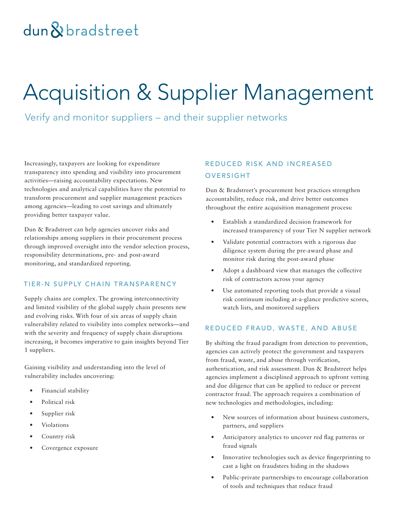# dun & bradstreet

# Acquisition & Supplier Management

Verify and monitor suppliers – and their supplier networks

Increasingly, taxpayers are looking for expenditure transparency into spending and visibility into procurement activities—raising accountability expectations. New technologies and analytical capabilities have the potential to transform procurement and supplier management practices among agencies—leading to cost savings and ultimately providing better taxpayer value.

Dun & Bradstreet can help agencies uncover risks and relationships among suppliers in their procurement process through improved oversight into the vendor selection process, responsibility determinations, pre- and post-award monitoring, and standardized reporting.

#### TIER-N SUPPLY CHAIN TRANSPARENCY

Supply chains are complex. The growing interconnectivity and limited visibility of the global supply chain presents new and evolving risks. With four of six areas of supply chain vulnerability related to visibility into complex networks—and with the severity and frequency of supply chain disruptions increasing, it becomes imperative to gain insights beyond Tier 1 suppliers.

Gaining visibility and understanding into the level of vulnerability includes uncovering:

- Financial stability
- Political risk
- Supplier risk
- Violations
- Country risk
- Covergence exposure

## REDUCED RISK AND INCREASED OVERSIGHT

Dun & Bradstreet's procurement best practices strengthen accountability, reduce risk, and drive better outcomes throughout the entire acquisition management process:

- Establish a standardized decision framework for increased transparency of your Tier N supplier network
- Validate potential contractors with a rigorous due diligence system during the pre-award phase and monitor risk during the post-award phase
- Adopt a dashboard view that manages the collective risk of contractors across your agency
- Use automated reporting tools that provide a visual risk continuum including at-a-glance predictive scores, watch lists, and monitored suppliers

#### REDUCED FRAUD, WASTE, AND ABUSE

By shifting the fraud paradigm from detection to prevention, agencies can actively protect the government and taxpayers from fraud, waste, and abuse through verification, authentication, and risk assessment. Dun & Bradstreet helps agencies implement a disciplined approach to upfront vetting and due diligence that can be applied to reduce or prevent contractor fraud. The approach requires a combination of new technologies and methodologies, including:

- New sources of information about business customers, partners, and suppliers
- Anticipatory analytics to uncover red flag patterns or fraud signals
- Innovative technologies such as device fingerprinting to cast a light on fraudsters hiding in the shadows
- Public-private partnerships to encourage collaboration of tools and techniques that reduce fraud